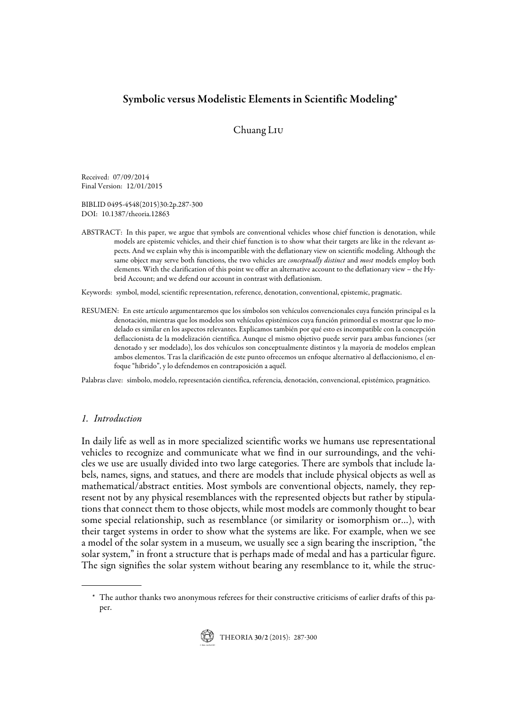# Symbolic versus Modelistic Elements in Scientific Modeling\*

## Chuang Liu

Received: 07/09/2014 Final Version: 12/01/2015

BIBLID 0495-4548(2015)30:2p.287-300 DOI: 10.1387/theoria.12863

ABSTRACT: In this paper, we argue that symbols are conventional vehicles whose chief function is denotation, while models are epistemic vehicles, and their chief function is to show what their targets are like in the relevant aspects. And we explain why this is incompatible with the deflationary view on scientific modeling. Although the same object may serve both functions, the two vehicles are *conceptually distinct* and most models employ both elements. With the clarification of this point we offer an alternative account to the deflationary view – the Hybrid Account; and we defend our account in contrast with deflationism.

Keywords: symbol, model, scientific representation, reference, denotation, conventional, epistemic, pragmatic.

RESUMEN: En este artículo argumentaremos que los símbolos son vehículos convencionales cuya función principal es la denotación, mientras que los modelos son vehículos epistémicos cuya función primordial es mostrar que lo modelado es similar en los aspectos relevantes. Explicamos también por qué esto es incompatible con la concepción deflaccionista de la modelización científica. Aunque el mismo objetivo puede servir para ambas funciones (ser denotado y ser modelado), los dos vehículos son conceptualmente distintos y la mayoría de modelos emplean ambos elementos. Tras la clarificación de este punto ofrecemos un enfoque alternativo al deflaccionismo, el enfoque "híbrido", y lo defendemos en contraposición a aquél.

Palabras clave: símbolo, modelo, representación científica, referencia, denotación, convencional, epistémico, pragmático.

## 1. Introduction

In daily life as well as in more specialized scientific works we humans use representational vehicles to recognize and communicate what we find in our surroundings, and the vehicles we use are usually divided into two large categories. There are symbols that include labels, names, signs, and statues, and there are models that include physical objects as well as mathematical/abstract entities. Most symbols are conventional objects, namely, they represent not by any physical resemblances with the represented objects but rather by stipulations that connect them to those objects, while most models are commonly thought to bear some special relationship, such as resemblance (or similarity or isomorphism or…), with their target systems in order to show what the systems are like. For example, when we see a model of the solar system in a museum, we usually see a sign bearing the inscription, "the solar system," in front a structure that is perhaps made of medal and has a particular figure. The sign signifies the solar system without bearing any resemblance to it, while the struc-

<sup>\*</sup> The author thanks two anonymous referees for their constructive criticisms of earlier drafts of this paper.

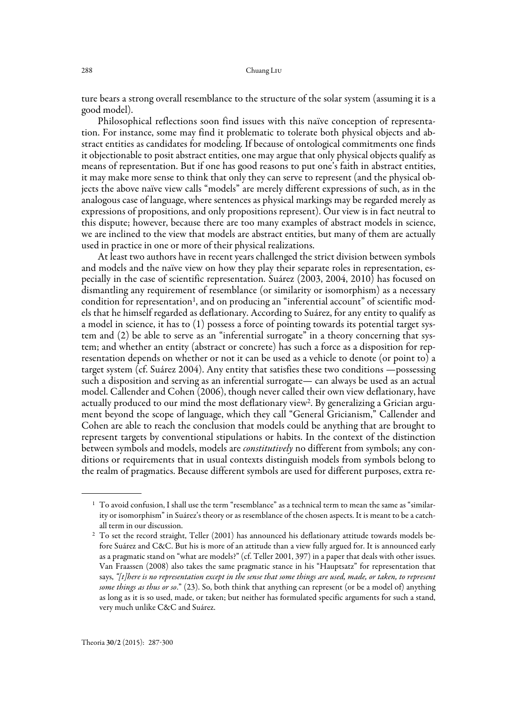ture bears a strong overall resemblance to the structure of the solar system (assuming it is a good model).

Philosophical reflections soon find issues with this naïve conception of representation. For instance, some may find it problematic to tolerate both physical objects and abstract entities as candidates for modeling. If because of ontological commitments one finds it objectionable to posit abstract entities, one may argue that only physical objects qualify as means of representation. But if one has good reasons to put one's faith in abstract entities, it may make more sense to think that only they can serve to represent (and the physical objects the above naïve view calls "models" are merely different expressions of such, as in the analogous case of language, where sentences as physical markings may be regarded merely as expressions of propositions, and only propositions represent). Our view is in fact neutral to this dispute; however, because there are too many examples of abstract models in science, we are inclined to the view that models are abstract entities, but many of them are actually used in practice in one or more of their physical realizations.

At least two authors have in recent years challenged the strict division between symbols and models and the naïve view on how they play their separate roles in representation, especially in the case of scientific representation. Suárez (2003, 2004, 2010) has focused on dismantling any requirement of resemblance (or similarity or isomorphism) as a necessary condition for representation<sup>1</sup>, and on producing an "inferential account" of scientific models that he himself regarded as deflationary. According to Suárez, for any entity to qualify as a model in science, it has to  $(1)$  possess a force of pointing towards its potential target system and (2) be able to serve as an "inferential surrogate" in a theory concerning that system; and whether an entity (abstract or concrete) has such a force as a disposition for representation depends on whether or not it can be used as a vehicle to denote (or point to) a target system (cf. Suárez 2004). Any entity that satisfies these two conditions —possessing such a disposition and serving as an inferential surrogate— can always be used as an actual model. Callender and Cohen (2006), though never called their own view deflationary, have actually produced to our mind the most deflationary view<sup>2</sup>. By generalizing a Grician argument beyond the scope of language, which they call "General Gricianism," Callender and Cohen are able to reach the conclusion that models could be anything that are brought to represent targets by conventional stipulations or habits. In the context of the distinction between symbols and models, models are *constitutively* no different from symbols; any conditions or requirements that in usual contexts distinguish models from symbols belong to the realm of pragmatics. Because different symbols are used for different purposes, extra re-

 $^{\rm 1}$  To avoid confusion, I shall use the term "resemblance" as a technical term to mean the same as "similarity or isomorphism" in Suárez's theory or as resemblance of the chosen aspects. It is meant to be a catchall term in our discussion.

<sup>&</sup>lt;sup>2</sup> To set the record straight, Teller (2001) has announced his deflationary attitude towards models before Suárez and C&C. But his is more of an attitude than a view fully argued for. It is announced early as a pragmatic stand on "what are models?" (cf. Teller 2001, 397) in a paper that deals with other issues. Van Fraassen (2008) also takes the same pragmatic stance in his "Hauptsatz" for representation that says, "[t]here is no representation except in the sense that some things are used, made, or taken, to represent some things as thus or so." (23). So, both think that anything can represent (or be a model of) anything as long as it is so used, made, or taken; but neither has formulated specific arguments for such a stand, very much unlike C&C and Suárez.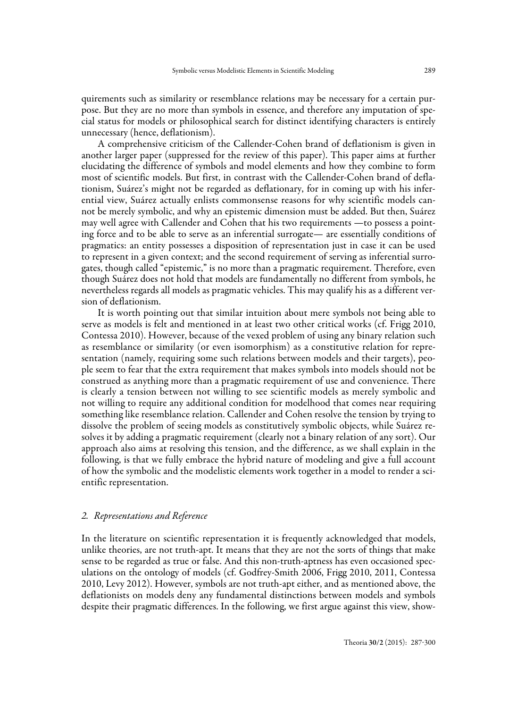quirements such as similarity or resemblance relations may be necessary for a certain purpose. But they are no more than symbols in essence, and therefore any imputation of special status for models or philosophical search for distinct identifying characters is entirely unnecessary (hence, deflationism).

A comprehensive criticism of the Callender-Cohen brand of deflationism is given in another larger paper (suppressed for the review of this paper). This paper aims at further elucidating the difference of symbols and model elements and how they combine to form most of scientific models. But first, in contrast with the Callender-Cohen brand of deflationism, Suárez's might not be regarded as deflationary, for in coming up with his inferential view, Suárez actually enlists commonsense reasons for why scientific models cannot be merely symbolic, and why an epistemic dimension must be added. But then, Suárez may well agree with Callender and Cohen that his two requirements —to possess a pointing force and to be able to serve as an inferential surrogate— are essentially conditions of pragmatics: an entity possesses a disposition of representation just in case it can be used to represent in a given context; and the second requirement of serving as inferential surrogates, though called "epistemic," is no more than a pragmatic requirement. Therefore, even though Suárez does not hold that models are fundamentally no different from symbols, he nevertheless regards all models as pragmatic vehicles. This may qualify his as a different version of deflationism.

It is worth pointing out that similar intuition about mere symbols not being able to serve as models is felt and mentioned in at least two other critical works (cf. Frigg 2010, Contessa 2010). However, because of the vexed problem of using any binary relation such as resemblance or similarity (or even isomorphism) as a constitutive relation for representation (namely, requiring some such relations between models and their targets), people seem to fear that the extra requirement that makes symbols into models should not be construed as anything more than a pragmatic requirement of use and convenience. There is clearly a tension between not willing to see scientific models as merely symbolic and not willing to require any additional condition for modelhood that comes near requiring something like resemblance relation. Callender and Cohen resolve the tension by trying to dissolve the problem of seeing models as constitutively symbolic objects, while Suárez resolves it by adding a pragmatic requirement (clearly not a binary relation of any sort). Our approach also aims at resolving this tension, and the difference, as we shall explain in the following, is that we fully embrace the hybrid nature of modeling and give a full account of how the symbolic and the modelistic elements work together in a model to render a scientific representation.

#### 2. Representations and Reference

In the literature on scientific representation it is frequently acknowledged that models, unlike theories, are not truth-apt. It means that they are not the sorts of things that make sense to be regarded as true or false. And this non-truth-aptness has even occasioned speculations on the ontology of models (cf. Godfrey-Smith 2006, Frigg 2010, 2011, Contessa 2010, Levy 2012). However, symbols are not truth-apt either, and as mentioned above, the deflationists on models deny any fundamental distinctions between models and symbols despite their pragmatic differences. In the following, we first argue against this view, show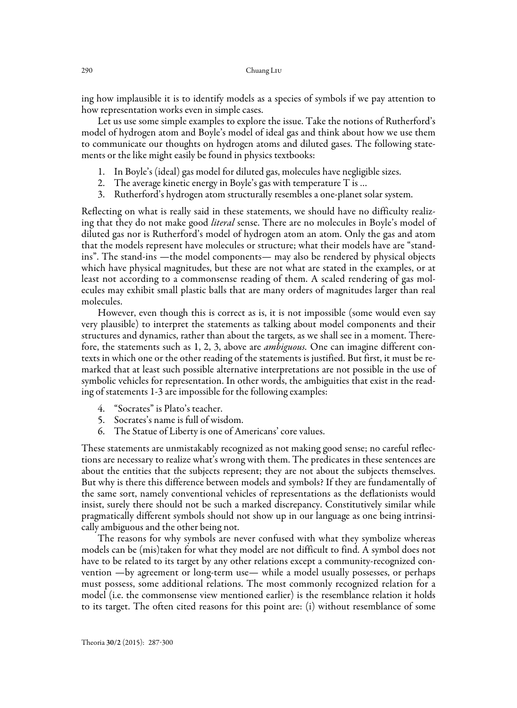ing how implausible it is to identify models as a species of symbols if we pay attention to how representation works even in simple cases.

Let us use some simple examples to explore the issue. Take the notions of Rutherford's model of hydrogen atom and Boyle's model of ideal gas and think about how we use them to communicate our thoughts on hydrogen atoms and diluted gases. The following statements or the like might easily be found in physics textbooks:

- 1. In Boyle's (ideal) gas model for diluted gas, molecules have negligible sizes.
- 2. The average kinetic energy in Boyle's gas with temperature T is …
- 3. Rutherford's hydrogen atom structurally resembles a one-planet solar system.

Reflecting on what is really said in these statements, we should have no difficulty realizing that they do not make good *literal* sense. There are no molecules in Boyle's model of diluted gas nor is Rutherford's model of hydrogen atom an atom. Only the gas and atom that the models represent have molecules or structure; what their models have are "standins". The stand-ins —the model components— may also be rendered by physical objects which have physical magnitudes, but these are not what are stated in the examples, or at least not according to a commonsense reading of them. A scaled rendering of gas molecules may exhibit small plastic balls that are many orders of magnitudes larger than real molecules.

However, even though this is correct as is, it is not impossible (some would even say very plausible) to interpret the statements as talking about model components and their structures and dynamics, rather than about the targets, as we shall see in a moment. Therefore, the statements such as 1, 2, 3, above are *ambiguous*. One can imagine different contexts in which one or the other reading of the statements is justified. But first, it must be remarked that at least such possible alternative interpretations are not possible in the use of symbolic vehicles for representation. In other words, the ambiguities that exist in the reading of statements 1-3 are impossible for the following examples:

- 4. "Socrates" is Plato's teacher.
- 5. Socrates's name is full of wisdom.
- 6. The Statue of Liberty is one of Americans' core values.

These statements are unmistakably recognized as not making good sense; no careful reflections are necessary to realize what's wrong with them. The predicates in these sentences are about the entities that the subjects represent; they are not about the subjects themselves. But why is there this difference between models and symbols? If they are fundamentally of the same sort, namely conventional vehicles of representations as the deflationists would insist, surely there should not be such a marked discrepancy. Constitutively similar while pragmatically different symbols should not show up in our language as one being intrinsically ambiguous and the other being not.

The reasons for why symbols are never confused with what they symbolize whereas models can be (mis)taken for what they model are not difficult to find. A symbol does not have to be related to its target by any other relations except a community-recognized convention —by agreement or long-term use— while a model usually possesses, or perhaps must possess, some additional relations. The most commonly recognized relation for a model (i.e. the commonsense view mentioned earlier) is the resemblance relation it holds to its target. The often cited reasons for this point are: (i) without resemblance of some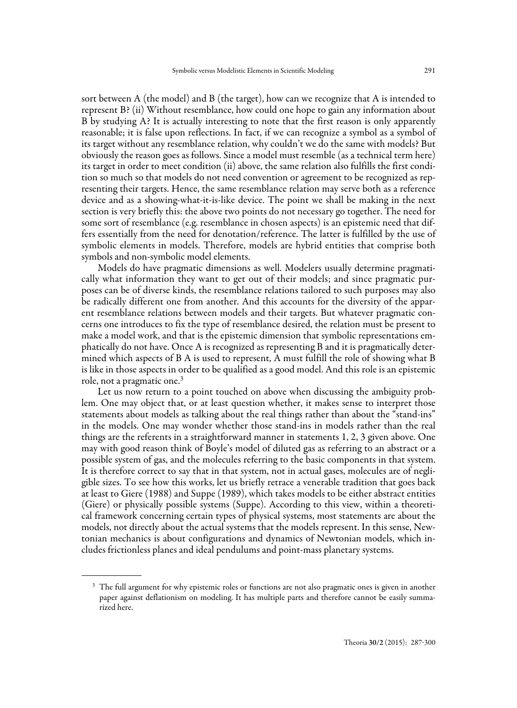sort between A (the model) and B (the target), how can we recognize that A is intended to represent B? (ii) Without resemblance, how could one hope to gain any information about B by studying A? It is actually interesting to note that the first reason is only apparently reasonable; it is false upon reflections. In fact, if we can recognize a symbol as a symbol of its target without any resemblance relation, why couldn't we do the same with models? But obviously the reason goes as follows. Since a model must resemble (as a technical term here) its target in order to meet condition (ii) above, the same relation also fulfills the first condition so much so that models do not need convention or agreement to be recognized as representing their targets. Hence, the same resemblance relation may serve both as a reference device and as a showing-what-it-is-like device. The point we shall be making in the next section is very briefly this: the above two points do not necessary go together. The need for some sort of resemblance (e.g. resemblance in chosen aspects) is an epistemic need that differs essentially from the need for denotation/reference. The latter is fulfilled by the use of symbolic elements in models. Therefore, models are hybrid entities that comprise both symbols and non-symbolic model elements.

Models do have pragmatic dimensions as well. Modelers usually determine pragmatically what information they want to get out of their models; and since pragmatic purposes can be of diverse kinds, the resemblance relations tailored to such purposes may also be radically different one from another. And this accounts for the diversity of the apparent resemblance relations between models and their targets. But whatever pragmatic concerns one introduces to fix the type of resemblance desired, the relation must be present to make a model work, and that is the epistemic dimension that symbolic representations emphatically do not have. Once A is recognized as representing B and it is pragmatically determined which aspects of B A is used to represent, A must fulfill the role of showing what B is like in those aspects in order to be qualified as a good model. And this role is an epistemic role, not a pragmatic one.3

Let us now return to a point touched on above when discussing the ambiguity problem. One may object that, or at least question whether, it makes sense to interpret those statements about models as talking about the real things rather than about the "stand-ins" in the models. One may wonder whether those stand-ins in models rather than the real things are the referents in a straightforward manner in statements 1, 2, 3 given above. One may with good reason think of Boyle's model of diluted gas as referring to an abstract or a possible system of gas, and the molecules referring to the basic components in that system. It is therefore correct to say that in that system, not in actual gases, molecules are of negligible sizes. To see how this works, let us briefly retrace a venerable tradition that goes back at least to Giere (1988) and Suppe (1989), which takes models to be either abstract entities (Giere) or physically possible systems (Suppe). According to this view, within a theoretical framework concerning certain types of physical systems, most statements are about the models, not directly about the actual systems that the models represent. In this sense, Newtonian mechanics is about configurations and dynamics of Newtonian models, which includes frictionless planes and ideal pendulums and point-mass planetary systems.

<sup>&</sup>lt;sup>3</sup> The full argument for why epistemic roles or functions are not also pragmatic ones is given in another paper against deflationism on modeling. It has multiple parts and therefore cannot be easily summarized here.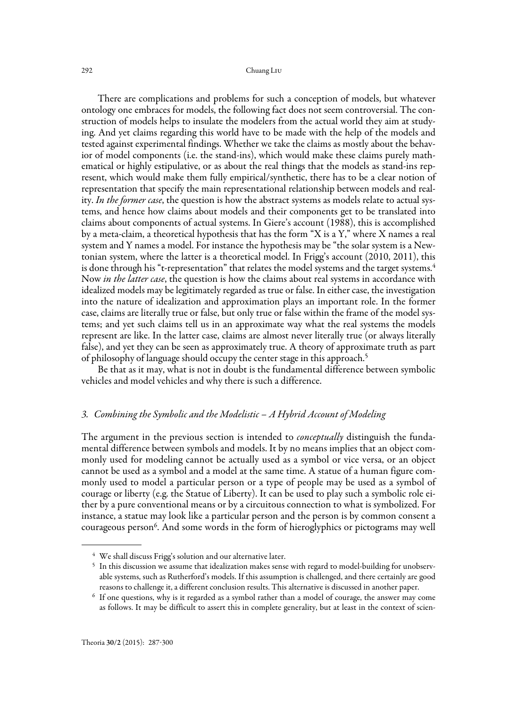There are complications and problems for such a conception of models, but whatever ontology one embraces for models, the following fact does not seem controversial. The construction of models helps to insulate the modelers from the actual world they aim at studying. And yet claims regarding this world have to be made with the help of the models and tested against experimental findings. Whether we take the claims as mostly about the behavior of model components (i.e. the stand-ins), which would make these claims purely mathematical or highly estipulative, or as about the real things that the models as stand-ins represent, which would make them fully empirical/synthetic, there has to be a clear notion of representation that specify the main representational relationship between models and reality. In the former case, the question is how the abstract systems as models relate to actual systems, and hence how claims about models and their components get to be translated into claims about components of actual systems. In Giere's account (1988), this is accomplished by a meta-claim, a theoretical hypothesis that has the form "X is a Y," where X names a real system and Y names a model. For instance the hypothesis may be "the solar system is a Newtonian system, where the latter is a theoretical model. In Frigg's account (2010, 2011), this is done through his "t-representation" that relates the model systems and the target systems.<sup>4</sup> Now in the latter case, the question is how the claims about real systems in accordance with idealized models may be legitimately regarded as true or false. In either case, the investigation into the nature of idealization and approximation plays an important role. In the former case, claims are literally true or false, but only true or false within the frame of the model systems; and yet such claims tell us in an approximate way what the real systems the models represent are like. In the latter case, claims are almost never literally true (or always literally false), and yet they can be seen as approximately true. A theory of approximate truth as part of philosophy of language should occupy the center stage in this approach.5

Be that as it may, what is not in doubt is the fundamental difference between symbolic vehicles and model vehicles and why there is such a difference.

## 3. Combining the Symbolic and the Modelistic – A Hybrid Account of Modeling

The argument in the previous section is intended to *conceptually* distinguish the fundamental difference between symbols and models. It by no means implies that an object commonly used for modeling cannot be actually used as a symbol or vice versa, or an object cannot be used as a symbol and a model at the same time. A statue of a human figure commonly used to model a particular person or a type of people may be used as a symbol of courage or liberty (e.g. the Statue of Liberty). It can be used to play such a symbolic role either by a pure conventional means or by a circuitous connection to what is symbolized. For instance, a statue may look like a particular person and the person is by common consent a courageous person<sup>6</sup>. And some words in the form of hieroglyphics or pictograms may well

<sup>&</sup>lt;sup>4</sup> We shall discuss Frigg's solution and our alternative later.

<sup>&</sup>lt;sup>5</sup> In this discussion we assume that idealization makes sense with regard to model-building for unobservable systems, such as Rutherford's models. If this assumption is challenged, and there certainly are good reasons to challenge it, a different conclusion results. This alternative is discussed in another paper.<br><sup>6</sup> If one questions, why is it regarded as a symbol rather than a model of courage, the answer may come

as follows. It may be difficult to assert this in complete generality, but at least in the context of scien-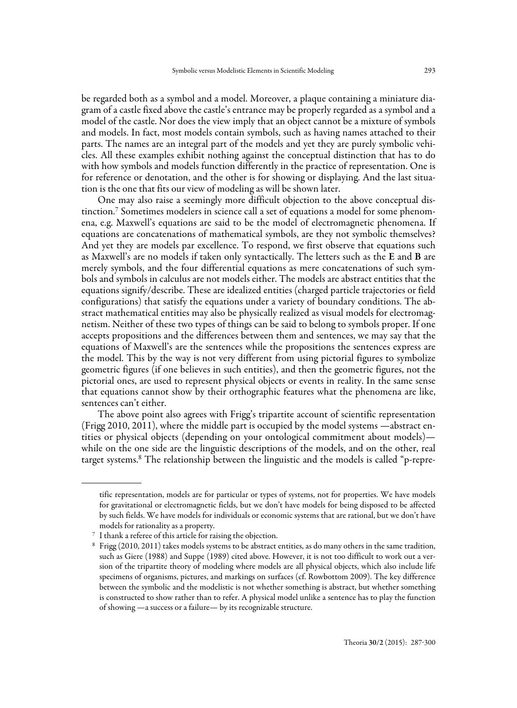be regarded both as a symbol and a model. Moreover, a plaque containing a miniature diagram of a castle fixed above the castle's entrance may be properly regarded as a symbol and a model of the castle. Nor does the view imply that an object cannot be a mixture of symbols and models. In fact, most models contain symbols, such as having names attached to their parts. The names are an integral part of the models and yet they are purely symbolic vehicles. All these examples exhibit nothing against the conceptual distinction that has to do with how symbols and models function differently in the practice of representation. One is for reference or denotation, and the other is for showing or displaying. And the last situation is the one that fits our view of modeling as will be shown later.

One may also raise a seemingly more difficult objection to the above conceptual distinction.7 Sometimes modelers in science call a set of equations a model for some phenomena, e.g. Maxwell's equations are said to be the model of electromagnetic phenomena. If equations are concatenations of mathematical symbols, are they not symbolic themselves? And yet they are models par excellence. To respond, we first observe that equations such as Maxwell's are no models if taken only syntactically. The letters such as the E and B are merely symbols, and the four differential equations as mere concatenations of such symbols and symbols in calculus are not models either. The models are abstract entities that the equations signify/describe. These are idealized entities (charged particle trajectories or field configurations) that satisfy the equations under a variety of boundary conditions. The abstract mathematical entities may also be physically realized as visual models for electromagnetism. Neither of these two types of things can be said to belong to symbols proper. If one accepts propositions and the differences between them and sentences, we may say that the equations of Maxwell's are the sentences while the propositions the sentences express are the model. This by the way is not very different from using pictorial figures to symbolize geometric figures (if one believes in such entities), and then the geometric figures, not the pictorial ones, are used to represent physical objects or events in reality. In the same sense that equations cannot show by their orthographic features what the phenomena are like, sentences can't either.

The above point also agrees with Frigg's tripartite account of scientific representation (Frigg 2010, 2011), where the middle part is occupied by the model systems —abstract entities or physical objects (depending on your ontological commitment about models) while on the one side are the linguistic descriptions of the models, and on the other, real target systems.8 The relationship between the linguistic and the models is called "p-repre-

tific representation, models are for particular or types of systems, not for properties. We have models for gravitational or electromagnetic fields, but we don't have models for being disposed to be affected by such fields. We have models for individuals or economic systems that are rational, but we don't have models for rationality as a property.

<sup>7</sup> I thank a referee of this article for raising the objection.

<sup>8</sup> Frigg (2010, 2011) takes models systems to be abstract entities, as do many others in the same tradition, such as Giere (1988) and Suppe (1989) cited above. However, it is not too difficult to work out a version of the tripartite theory of modeling where models are all physical objects, which also include life specimens of organisms, pictures, and markings on surfaces (cf. Rowbottom 2009). The key difference between the symbolic and the modelistic is not whether something is abstract, but whether something is constructed to show rather than to refer. A physical model unlike a sentence has to play the function of showing —a success or a failure— by its recognizable structure.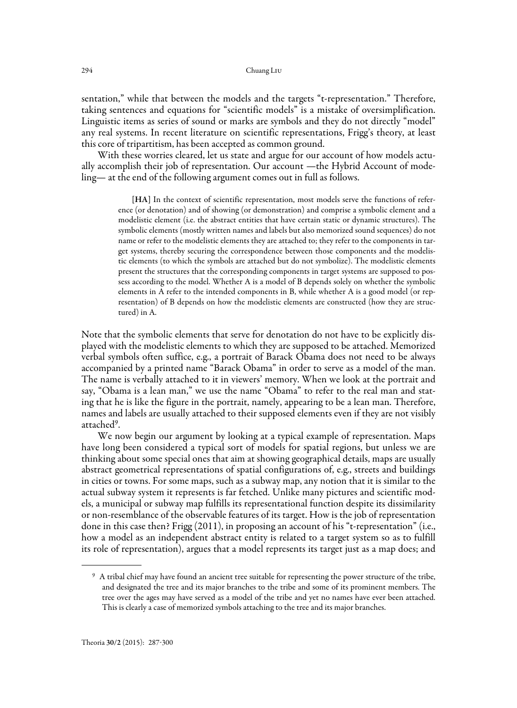sentation," while that between the models and the targets "t-representation." Therefore, taking sentences and equations for "scientific models" is a mistake of oversimplification. Linguistic items as series of sound or marks are symbols and they do not directly "model" any real systems. In recent literature on scientific representations, Frigg's theory, at least this core of tripartitism, has been accepted as common ground.

With these worries cleared, let us state and argue for our account of how models actually accomplish their job of representation. Our account —the Hybrid Account of modeling— at the end of the following argument comes out in full as follows.

> [HA] In the context of scientific representation, most models serve the functions of reference (or denotation) and of showing (or demonstration) and comprise a symbolic element and a modelistic element (i.e. the abstract entities that have certain static or dynamic structures). The symbolic elements (mostly written names and labels but also memorized sound sequences) do not name or refer to the modelistic elements they are attached to; they refer to the components in target systems, thereby securing the correspondence between those components and the modelistic elements (to which the symbols are attached but do not symbolize). The modelistic elements present the structures that the corresponding components in target systems are supposed to possess according to the model. Whether A is a model of B depends solely on whether the symbolic elements in A refer to the intended components in B, while whether A is a good model (or representation) of B depends on how the modelistic elements are constructed (how they are structured) in A.

Note that the symbolic elements that serve for denotation do not have to be explicitly displayed with the modelistic elements to which they are supposed to be attached. Memorized verbal symbols often suffice, e.g., a portrait of Barack Obama does not need to be always accompanied by a printed name "Barack Obama" in order to serve as a model of the man. The name is verbally attached to it in viewers' memory. When we look at the portrait and say, "Obama is a lean man," we use the name "Obama" to refer to the real man and stating that he is like the figure in the portrait, namely, appearing to be a lean man. Therefore, names and labels are usually attached to their supposed elements even if they are not visibly attached9.

We now begin our argument by looking at a typical example of representation. Maps have long been considered a typical sort of models for spatial regions, but unless we are thinking about some special ones that aim at showing geographical details, maps are usually abstract geometrical representations of spatial configurations of, e.g., streets and buildings in cities or towns. For some maps, such as a subway map, any notion that it is similar to the actual subway system it represents is far fetched. Unlike many pictures and scientific models, a municipal or subway map fulfills its representational function despite its dissimilarity or non-resemblance of the observable features of its target. How is the job of representation done in this case then? Frigg (2011), in proposing an account of his "t-representation" (i.e., how a model as an independent abstract entity is related to a target system so as to fulfill its role of representation), argues that a model represents its target just as a map does; and

<sup>9</sup> A tribal chief may have found an ancient tree suitable for representing the power structure of the tribe, and designated the tree and its major branches to the tribe and some of its prominent members. The tree over the ages may have served as a model of the tribe and yet no names have ever been attached. This is clearly a case of memorized symbols attaching to the tree and its major branches.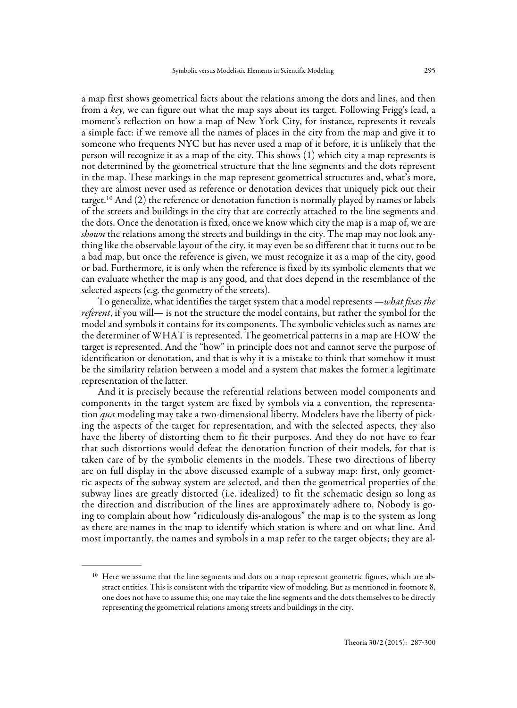a map first shows geometrical facts about the relations among the dots and lines, and then from a key, we can figure out what the map says about its target. Following Frigg's lead, a moment's reflection on how a map of New York City, for instance, represents it reveals a simple fact: if we remove all the names of places in the city from the map and give it to someone who frequents NYC but has never used a map of it before, it is unlikely that the person will recognize it as a map of the city. This shows (1) which city a map represents is not determined by the geometrical structure that the line segments and the dots represent in the map. These markings in the map represent geometrical structures and, what's more, they are almost never used as reference or denotation devices that uniquely pick out their target.10 And (2) the reference or denotation function is normally played by names or labels of the streets and buildings in the city that are correctly attached to the line segments and the dots. Once the denotation is fixed, once we know which city the map is a map of, we are shown the relations among the streets and buildings in the city. The map may not look anything like the observable layout of the city, it may even be so different that it turns out to be a bad map, but once the reference is given, we must recognize it as a map of the city, good or bad. Furthermore, it is only when the reference is fixed by its symbolic elements that we can evaluate whether the map is any good, and that does depend in the resemblance of the selected aspects (e.g. the geometry of the streets).

To generalize, what identifies the target system that a model represents —what fixes the referent, if you will— is not the structure the model contains, but rather the symbol for the model and symbols it contains for its components. The symbolic vehicles such as names are the determiner of WHAT is represented. The geometrical patterns in a map are HOW the target is represented. And the "how" in principle does not and cannot serve the purpose of identification or denotation, and that is why it is a mistake to think that somehow it must be the similarity relation between a model and a system that makes the former a legitimate representation of the latter.

And it is precisely because the referential relations between model components and components in the target system are fixed by symbols via a convention, the representation qua modeling may take a two-dimensional liberty. Modelers have the liberty of picking the aspects of the target for representation, and with the selected aspects, they also have the liberty of distorting them to fit their purposes. And they do not have to fear that such distortions would defeat the denotation function of their models, for that is taken care of by the symbolic elements in the models. These two directions of liberty are on full display in the above discussed example of a subway map: first, only geometric aspects of the subway system are selected, and then the geometrical properties of the subway lines are greatly distorted (i.e. idealized) to fit the schematic design so long as the direction and distribution of the lines are approximately adhere to. Nobody is going to complain about how "ridiculously dis-analogous" the map is to the system as long as there are names in the map to identify which station is where and on what line. And most importantly, the names and symbols in a map refer to the target objects; they are al-

<sup>&</sup>lt;sup>10</sup> Here we assume that the line segments and dots on a map represent geometric figures, which are abstract entities. This is consistent with the tripartite view of modeling. But as mentioned in footnote 8, one does not have to assume this; one may take the line segments and the dots themselves to be directly representing the geometrical relations among streets and buildings in the city.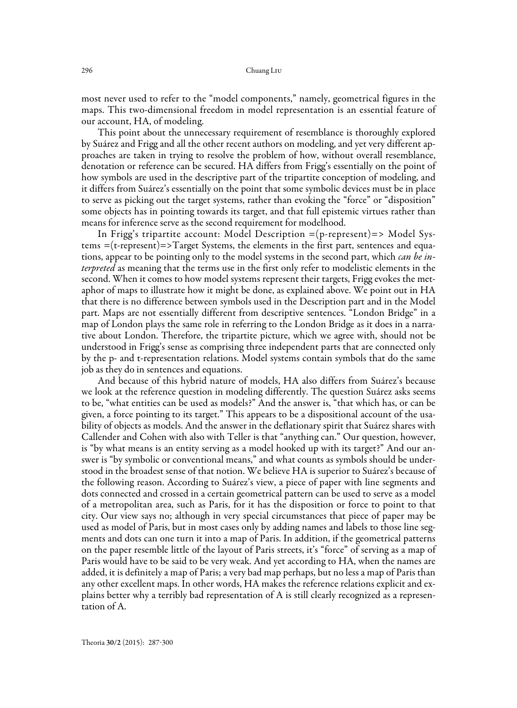most never used to refer to the "model components," namely, geometrical figures in the maps. This two-dimensional freedom in model representation is an essential feature of our account, HA, of modeling.

This point about the unnecessary requirement of resemblance is thoroughly explored by Suárez and Frigg and all the other recent authors on modeling, and yet very different approaches are taken in trying to resolve the problem of how, without overall resemblance, denotation or reference can be secured. HA differs from Frigg's essentially on the point of how symbols are used in the descriptive part of the tripartite conception of modeling, and it differs from Suárez's essentially on the point that some symbolic devices must be in place to serve as picking out the target systems, rather than evoking the "force" or "disposition" some objects has in pointing towards its target, and that full epistemic virtues rather than means for inference serve as the second requirement for modelhood.

In Frigg's tripartite account: Model Description =(p-represent)=> Model Systems  $=(t$ -represent $)=$ >Target Systems, the elements in the first part, sentences and equations, appear to be pointing only to the model systems in the second part, which *can be interpreted* as meaning that the terms use in the first only refer to modelistic elements in the second. When it comes to how model systems represent their targets, Frigg evokes the metaphor of maps to illustrate how it might be done, as explained above. We point out in HA that there is no difference between symbols used in the Description part and in the Model part. Maps are not essentially different from descriptive sentences. "London Bridge" in a map of London plays the same role in referring to the London Bridge as it does in a narrative about London. Therefore, the tripartite picture, which we agree with, should not be understood in Frigg's sense as comprising three independent parts that are connected only by the p- and t-representation relations. Model systems contain symbols that do the same job as they do in sentences and equations.

And because of this hybrid nature of models, HA also differs from Suárez's because we look at the reference question in modeling differently. The question Suárez asks seems to be, "what entities can be used as models?" And the answer is, "that which has, or can be given, a force pointing to its target." This appears to be a dispositional account of the usability of objects as models. And the answer in the deflationary spirit that Suárez shares with Callender and Cohen with also with Teller is that "anything can." Our question, however, is "by what means is an entity serving as a model hooked up with its target?" And our answer is "by symbolic or conventional means," and what counts as symbols should be understood in the broadest sense of that notion. We believe HA is superior to Suárez's because of the following reason. According to Suárez's view, a piece of paper with line segments and dots connected and crossed in a certain geometrical pattern can be used to serve as a model of a metropolitan area, such as Paris, for it has the disposition or force to point to that city. Our view says no; although in very special circumstances that piece of paper may be used as model of Paris, but in most cases only by adding names and labels to those line segments and dots can one turn it into a map of Paris. In addition, if the geometrical patterns on the paper resemble little of the layout of Paris streets, it's "force" of serving as a map of Paris would have to be said to be very weak. And yet according to HA, when the names are added, it is definitely a map of Paris; a very bad map perhaps, but no less a map of Paris than any other excellent maps. In other words, HA makes the reference relations explicit and explains better why a terribly bad representation of A is still clearly recognized as a representation of A.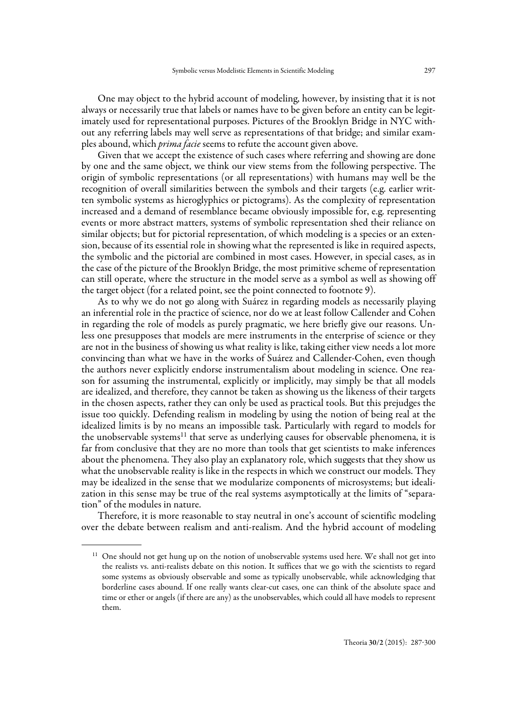One may object to the hybrid account of modeling, however, by insisting that it is not always or necessarily true that labels or names have to be given before an entity can be legitimately used for representational purposes. Pictures of the Brooklyn Bridge in NYC without any referring labels may well serve as representations of that bridge; and similar examples abound, which *prima facie* seems to refute the account given above.

Given that we accept the existence of such cases where referring and showing are done by one and the same object, we think our view stems from the following perspective. The origin of symbolic representations (or all representations) with humans may well be the recognition of overall similarities between the symbols and their targets (e.g. earlier written symbolic systems as hieroglyphics or pictograms). As the complexity of representation increased and a demand of resemblance became obviously impossible for, e.g. representing events or more abstract matters, systems of symbolic representation shed their reliance on similar objects; but for pictorial representation, of which modeling is a species or an extension, because of its essential role in showing what the represented is like in required aspects, the symbolic and the pictorial are combined in most cases. However, in special cases, as in the case of the picture of the Brooklyn Bridge, the most primitive scheme of representation can still operate, where the structure in the model serve as a symbol as well as showing off the target object (for a related point, see the point connected to footnote 9).

As to why we do not go along with Suárez in regarding models as necessarily playing an inferential role in the practice of science, nor do we at least follow Callender and Cohen in regarding the role of models as purely pragmatic, we here briefly give our reasons. Unless one presupposes that models are mere instruments in the enterprise of science or they are not in the business of showing us what reality is like, taking either view needs a lot more convincing than what we have in the works of Suárez and Callender-Cohen, even though the authors never explicitly endorse instrumentalism about modeling in science. One reason for assuming the instrumental, explicitly or implicitly, may simply be that all models are idealized, and therefore, they cannot be taken as showing us the likeness of their targets in the chosen aspects, rather they can only be used as practical tools. But this prejudges the issue too quickly. Defending realism in modeling by using the notion of being real at the idealized limits is by no means an impossible task. Particularly with regard to models for the unobservable systems $11$  that serve as underlying causes for observable phenomena, it is far from conclusive that they are no more than tools that get scientists to make inferences about the phenomena. They also play an explanatory role, which suggests that they show us what the unobservable reality is like in the respects in which we construct our models. They may be idealized in the sense that we modularize components of microsystems; but idealization in this sense may be true of the real systems asymptotically at the limits of "separation" of the modules in nature.

Therefore, it is more reasonable to stay neutral in one's account of scientific modeling over the debate between realism and anti-realism. And the hybrid account of modeling

<sup>&</sup>lt;sup>11</sup> One should not get hung up on the notion of unobservable systems used here. We shall not get into the realists vs. anti-realists debate on this notion. It suffices that we go with the scientists to regard some systems as obviously observable and some as typically unobservable, while acknowledging that borderline cases abound. If one really wants clear-cut cases, one can think of the absolute space and time or ether or angels (if there are any) as the unobservables, which could all have models to represent them.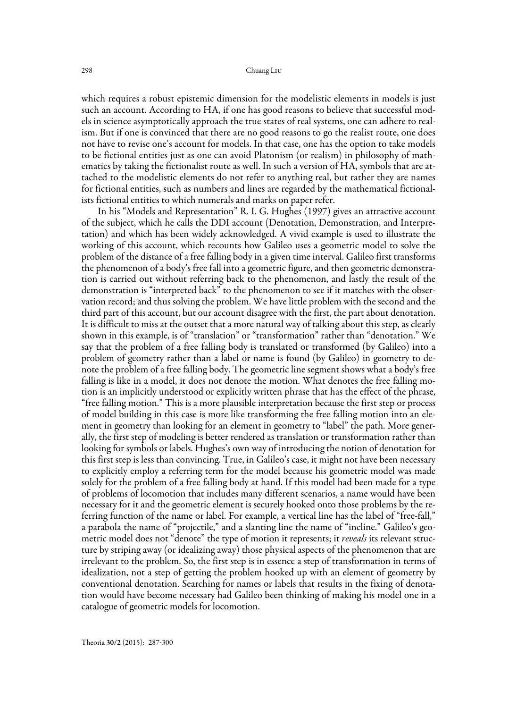which requires a robust epistemic dimension for the modelistic elements in models is just such an account. According to HA, if one has good reasons to believe that successful models in science asymptotically approach the true states of real systems, one can adhere to realism. But if one is convinced that there are no good reasons to go the realist route, one does not have to revise one's account for models. In that case, one has the option to take models to be fictional entities just as one can avoid Platonism (or realism) in philosophy of mathematics by taking the fictionalist route as well. In such a version of HA, symbols that are attached to the modelistic elements do not refer to anything real, but rather they are names for fictional entities, such as numbers and lines are regarded by the mathematical fictionalists fictional entities to which numerals and marks on paper refer.

In his "Models and Representation" R. I. G. Hughes (1997) gives an attractive account of the subject, which he calls the DDI account (Denotation, Demonstration, and Interpretation) and which has been widely acknowledged. A vivid example is used to illustrate the working of this account, which recounts how Galileo uses a geometric model to solve the problem of the distance of a free falling body in a given time interval. Galileo first transforms the phenomenon of a body's free fall into a geometric figure, and then geometric demonstration is carried out without referring back to the phenomenon, and lastly the result of the demonstration is "interpreted back" to the phenomenon to see if it matches with the observation record; and thus solving the problem. We have little problem with the second and the third part of this account, but our account disagree with the first, the part about denotation. It is difficult to miss at the outset that a more natural way of talking about this step, as clearly shown in this example, is of "translation" or "transformation" rather than "denotation." We say that the problem of a free falling body is translated or transformed (by Galileo) into a problem of geometry rather than a label or name is found (by Galileo) in geometry to denote the problem of a free falling body. The geometric line segment shows what a body's free falling is like in a model, it does not denote the motion. What denotes the free falling motion is an implicitly understood or explicitly written phrase that has the effect of the phrase, "free falling motion." This is a more plausible interpretation because the first step or process of model building in this case is more like transforming the free falling motion into an element in geometry than looking for an element in geometry to "label" the path. More generally, the first step of modeling is better rendered as translation or transformation rather than looking for symbols or labels. Hughes's own way of introducing the notion of denotation for this first step is less than convincing. True, in Galileo's case, it might not have been necessary to explicitly employ a referring term for the model because his geometric model was made solely for the problem of a free falling body at hand. If this model had been made for a type of problems of locomotion that includes many different scenarios, a name would have been necessary for it and the geometric element is securely hooked onto those problems by the referring function of the name or label. For example, a vertical line has the label of "free-fall," a parabola the name of "projectile," and a slanting line the name of "incline." Galileo's geometric model does not "denote" the type of motion it represents; it *reveals* its relevant structure by striping away (or idealizing away) those physical aspects of the phenomenon that are irrelevant to the problem. So, the first step is in essence a step of transformation in terms of idealization, not a step of getting the problem hooked up with an element of geometry by conventional denotation. Searching for names or labels that results in the fixing of denotation would have become necessary had Galileo been thinking of making his model one in a catalogue of geometric models for locomotion.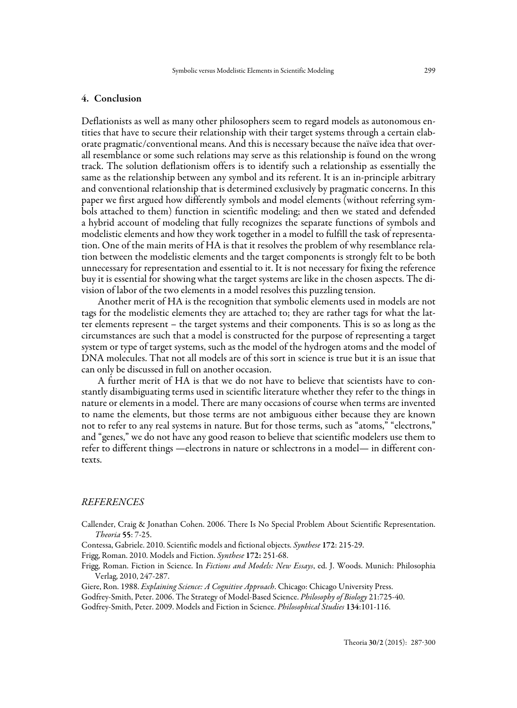#### 4. Conclusion

Deflationists as well as many other philosophers seem to regard models as autonomous entities that have to secure their relationship with their target systems through a certain elaborate pragmatic/conventional means. And this is necessary because the naïve idea that overall resemblance or some such relations may serve as this relationship is found on the wrong track. The solution deflationism offers is to identify such a relationship as essentially the same as the relationship between any symbol and its referent. It is an in-principle arbitrary and conventional relationship that is determined exclusively by pragmatic concerns. In this paper we first argued how differently symbols and model elements (without referring symbols attached to them) function in scientific modeling; and then we stated and defended a hybrid account of modeling that fully recognizes the separate functions of symbols and modelistic elements and how they work together in a model to fulfill the task of representation. One of the main merits of HA is that it resolves the problem of why resemblance relation between the modelistic elements and the target components is strongly felt to be both unnecessary for representation and essential to it. It is not necessary for fixing the reference buy it is essential for showing what the target systems are like in the chosen aspects. The division of labor of the two elements in a model resolves this puzzling tension.

Another merit of HA is the recognition that symbolic elements used in models are not tags for the modelistic elements they are attached to; they are rather tags for what the latter elements represent – the target systems and their components. This is so as long as the circumstances are such that a model is constructed for the purpose of representing a target system or type of target systems, such as the model of the hydrogen atoms and the model of DNA molecules. That not all models are of this sort in science is true but it is an issue that can only be discussed in full on another occasion.

A further merit of HA is that we do not have to believe that scientists have to constantly disambiguating terms used in scientific literature whether they refer to the things in nature or elements in a model. There are many occasions of course when terms are invented to name the elements, but those terms are not ambiguous either because they are known not to refer to any real systems in nature. But for those terms, such as "atoms," "electrons," and "genes," we do not have any good reason to believe that scientific modelers use them to refer to different things —electrons in nature or schlectrons in a model— in different contexts.

#### REFERENCES

Callender, Craig & Jonathan Cohen. 2006. There Is No Special Problem About Scientific Representation. Theoria 55: 7-25.

Contessa, Gabriele. 2010. Scientific models and fictional objects. Synthese 172: 215-29.

Frigg, Roman. 2010. Models and Fiction. Synthese 172: 251-68.

Frigg, Roman. Fiction in Science. In Fictions and Models: New Essays, ed. J. Woods. Munich: Philosophia Verlag, 2010, 247-287.

Giere, Ron. 1988. Explaining Science: A Cognitive Approach. Chicago: Chicago University Press.

Godfrey-Smith, Peter. 2006. The Strategy of Model-Based Science. Philosophy of Biology 21:725-40.

Godfrey-Smith, Peter. 2009. Models and Fiction in Science. Philosophical Studies 134:101-116.